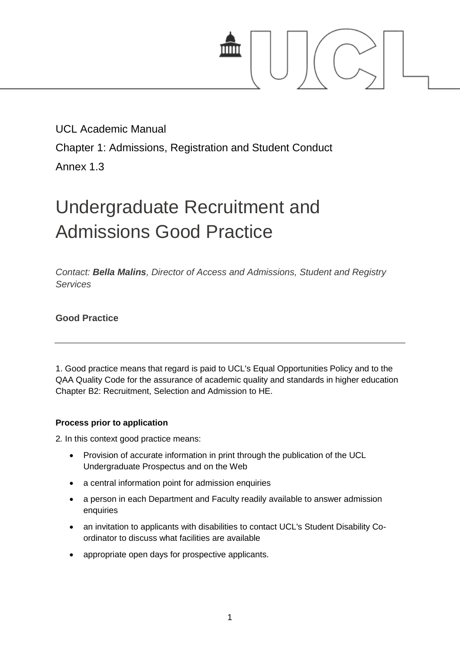

# UCL Academic Manual

Chapter 1: Admissions, Registration and Student Conduct

Annex 1.3

# Undergraduate Recruitment and Admissions Good Practice

*Contact: [Bella Malins](mailto:b.malins@ucl.ac.uk), Director of Access and Admissions, Student and Registry Services*

**Good Practice**

1. Good practice means that regard is paid to UCL's Equal Opportunities Policy and to the QAA Quality Code for the assurance of academic quality and standards in higher education Chapter B2: Recruitment, Selection and Admission to HE.

# **Process prior to application**

2*.* In this context good practice means:

- Provision of accurate information in print through the publication of the UCL Undergraduate Prospectus and on the Web
- a central information point for admission enquiries
- a person in each Department and Faculty readily available to answer admission enquiries
- an invitation to applicants with disabilities to contact UCL's Student Disability Coordinator to discuss what facilities are available
- appropriate open days for prospective applicants.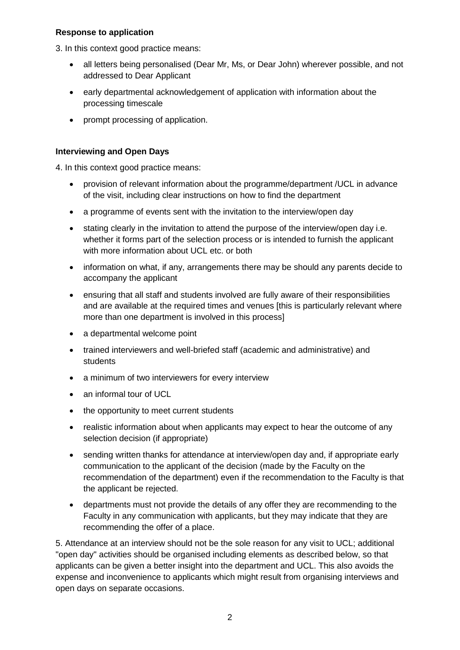#### **Response to application**

3. In this context good practice means:

- all letters being personalised (Dear Mr, Ms, or Dear John) wherever possible, and not addressed to Dear Applicant
- early departmental acknowledgement of application with information about the processing timescale
- prompt processing of application.

## **Interviewing and Open Days**

4. In this context good practice means:

- provision of relevant information about the programme/department /UCL in advance of the visit, including clear instructions on how to find the department
- a programme of events sent with the invitation to the interview/open day
- stating clearly in the invitation to attend the purpose of the interview/open day i.e. whether it forms part of the selection process or is intended to furnish the applicant with more information about UCL etc. or both
- information on what, if any, arrangements there may be should any parents decide to accompany the applicant
- ensuring that all staff and students involved are fully aware of their responsibilities and are available at the required times and venues [this is particularly relevant where more than one department is involved in this process]
- a departmental welcome point
- trained interviewers and well-briefed staff (academic and administrative) and students
- a minimum of two interviewers for every interview
- an informal tour of UCL
- the opportunity to meet current students
- realistic information about when applicants may expect to hear the outcome of any selection decision (if appropriate)
- sending written thanks for attendance at interview/open day and, if appropriate early communication to the applicant of the decision (made by the Faculty on the recommendation of the department) even if the recommendation to the Faculty is that the applicant be rejected.
- departments must not provide the details of any offer they are recommending to the Faculty in any communication with applicants, but they may indicate that they are recommending the offer of a place.

5. Attendance at an interview should not be the sole reason for any visit to UCL; additional "open day" activities should be organised including elements as described below, so that applicants can be given a better insight into the department and UCL. This also avoids the expense and inconvenience to applicants which might result from organising interviews and open days on separate occasions.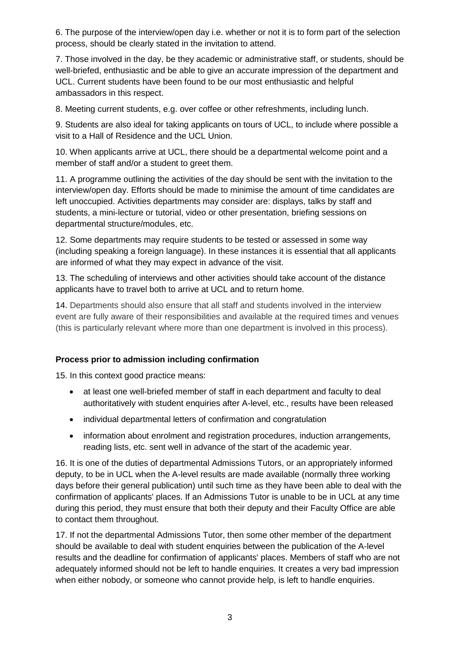6. The purpose of the interview/open day i.e. whether or not it is to form part of the selection process, should be clearly stated in the invitation to attend.

7. Those involved in the day, be they academic or administrative staff, or students, should be well-briefed, enthusiastic and be able to give an accurate impression of the department and UCL. Current students have been found to be our most enthusiastic and helpful ambassadors in this respect.

8. Meeting current students, e.g. over coffee or other refreshments, including lunch.

9. Students are also ideal for taking applicants on tours of UCL, to include where possible a visit to a Hall of Residence and the UCL Union.

10. When applicants arrive at UCL, there should be a departmental welcome point and a member of staff and/or a student to greet them.

11. A programme outlining the activities of the day should be sent with the invitation to the interview/open day. Efforts should be made to minimise the amount of time candidates are left unoccupied. Activities departments may consider are: displays, talks by staff and students, a mini-lecture or tutorial, video or other presentation, briefing sessions on departmental structure/modules, etc.

12. Some departments may require students to be tested or assessed in some way (including speaking a foreign language). In these instances it is essential that all applicants are informed of what they may expect in advance of the visit.

13. The scheduling of interviews and other activities should take account of the distance applicants have to travel both to arrive at UCL and to return home.

14. Departments should also ensure that all staff and students involved in the interview event are fully aware of their responsibilities and available at the required times and venues (this is particularly relevant where more than one department is involved in this process).

### **Process prior to admission including confirmation**

15. In this context good practice means:

- at least one well-briefed member of staff in each department and faculty to deal authoritatively with student enquiries after A-level, etc., results have been released
- individual departmental letters of confirmation and congratulation
- information about enrolment and registration procedures, induction arrangements, reading lists, etc. sent well in advance of the start of the academic year.

16. It is one of the duties of departmental Admissions Tutors, or an appropriately informed deputy, to be in UCL when the A-level results are made available (normally three working days before their general publication) until such time as they have been able to deal with the confirmation of applicants' places. If an Admissions Tutor is unable to be in UCL at any time during this period, they must ensure that both their deputy and their Faculty Office are able to contact them throughout.

17. If not the departmental Admissions Tutor, then some other member of the department should be available to deal with student enquiries between the publication of the A-level results and the deadline for confirmation of applicants' places. Members of staff who are not adequately informed should not be left to handle enquiries. It creates a very bad impression when either nobody, or someone who cannot provide help, is left to handle enquiries.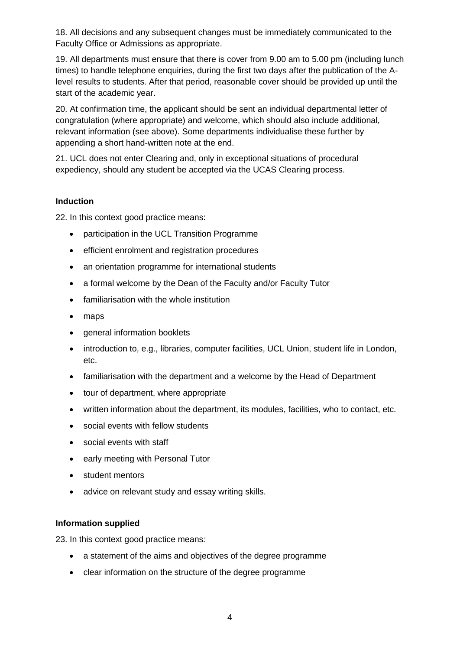18. All decisions and any subsequent changes must be immediately communicated to the Faculty Office or Admissions as appropriate.

19. All departments must ensure that there is cover from 9.00 am to 5.00 pm (including lunch times) to handle telephone enquiries, during the first two days after the publication of the Alevel results to students. After that period, reasonable cover should be provided up until the start of the academic year.

20. At confirmation time, the applicant should be sent an individual departmental letter of congratulation (where appropriate) and welcome, which should also include additional, relevant information (see above). Some departments individualise these further by appending a short hand-written note at the end.

21. UCL does not enter Clearing and, only in exceptional situations of procedural expediency, should any student be accepted via the UCAS Clearing process.

### **Induction**

22. In this context good practice means:

- participation in the UCL Transition Programme
- efficient enrolment and registration procedures
- an orientation programme for international students
- a formal welcome by the Dean of the Faculty and/or Faculty Tutor
- familiarisation with the whole institution
- maps
- general information booklets
- introduction to, e.g., libraries, computer facilities, UCL Union, student life in London, etc.
- familiarisation with the department and a welcome by the Head of Department
- tour of department, where appropriate
- written information about the department, its modules, facilities, who to contact, etc.
- social events with fellow students
- social events with staff
- early meeting with Personal Tutor
- student mentors
- advice on relevant study and essay writing skills.

#### **Information supplied**

23. In this context good practice means*:*

- a statement of the aims and objectives of the degree programme
- clear information on the structure of the degree programme